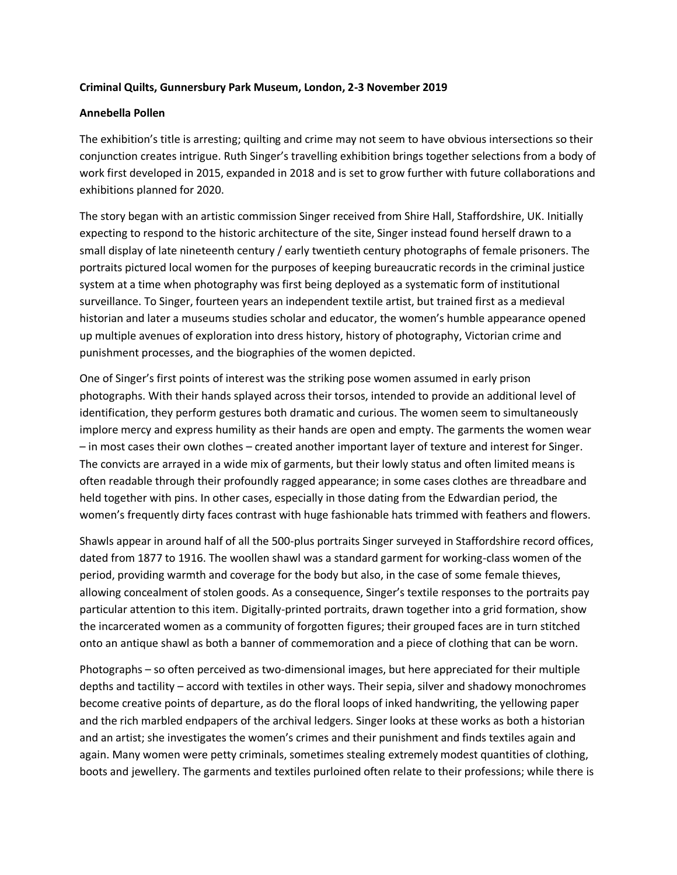## **Criminal Quilts, Gunnersbury Park Museum, London, 2-3 November 2019**

## **Annebella Pollen**

The exhibition's title is arresting; quilting and crime may not seem to have obvious intersections so their conjunction creates intrigue. Ruth Singer's travelling exhibition brings together selections from a body of work first developed in 2015, expanded in 2018 and is set to grow further with future collaborations and exhibitions planned for 2020.

The story began with an artistic commission Singer received from Shire Hall, Staffordshire, UK. Initially expecting to respond to the historic architecture of the site, Singer instead found herself drawn to a small display of late nineteenth century / early twentieth century photographs of female prisoners. The portraits pictured local women for the purposes of keeping bureaucratic records in the criminal justice system at a time when photography was first being deployed as a systematic form of institutional surveillance. To Singer, fourteen years an independent textile artist, but trained first as a medieval historian and later a museums studies scholar and educator, the women's humble appearance opened up multiple avenues of exploration into dress history, history of photography, Victorian crime and punishment processes, and the biographies of the women depicted.

One of Singer's first points of interest was the striking pose women assumed in early prison photographs. With their hands splayed across their torsos, intended to provide an additional level of identification, they perform gestures both dramatic and curious. The women seem to simultaneously implore mercy and express humility as their hands are open and empty. The garments the women wear – in most cases their own clothes – created another important layer of texture and interest for Singer. The convicts are arrayed in a wide mix of garments, but their lowly status and often limited means is often readable through their profoundly ragged appearance; in some cases clothes are threadbare and held together with pins. In other cases, especially in those dating from the Edwardian period, the women's frequently dirty faces contrast with huge fashionable hats trimmed with feathers and flowers.

Shawls appear in around half of all the 500-plus portraits Singer surveyed in Staffordshire record offices, dated from 1877 to 1916. The woollen shawl was a standard garment for working-class women of the period, providing warmth and coverage for the body but also, in the case of some female thieves, allowing concealment of stolen goods. As a consequence, Singer's textile responses to the portraits pay particular attention to this item. Digitally-printed portraits, drawn together into a grid formation, show the incarcerated women as a community of forgotten figures; their grouped faces are in turn stitched onto an antique shawl as both a banner of commemoration and a piece of clothing that can be worn.

Photographs – so often perceived as two-dimensional images, but here appreciated for their multiple depths and tactility – accord with textiles in other ways. Their sepia, silver and shadowy monochromes become creative points of departure, as do the floral loops of inked handwriting, the yellowing paper and the rich marbled endpapers of the archival ledgers. Singer looks at these works as both a historian and an artist; she investigates the women's crimes and their punishment and finds textiles again and again. Many women were petty criminals, sometimes stealing extremely modest quantities of clothing, boots and jewellery. The garments and textiles purloined often relate to their professions; while there is